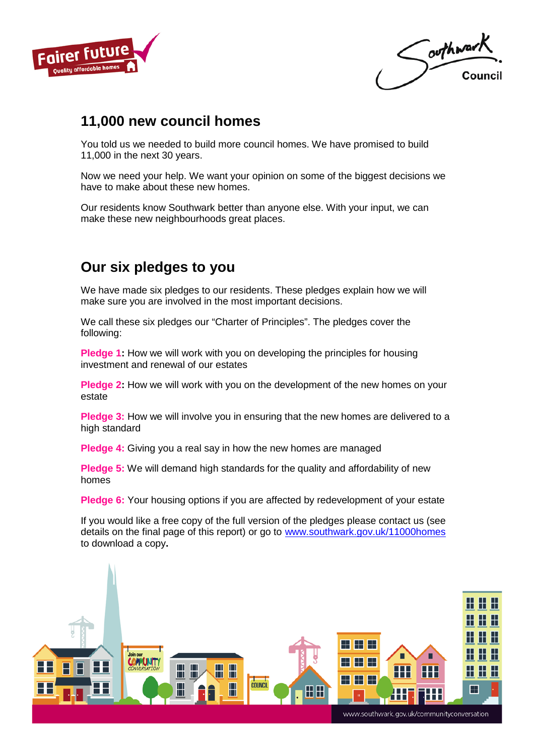

outhwark Council

## 11,000 new council homes

You told us we needed to build more council homes. We have promised to build 11,000 in the next 30 years.

Now we need your help. We want your opinion on some of the biggest decisions we have to make about these new homes.

Our residents know Southwark better than anyone else. With your input, we can make these new neighbourhoods great places.

## Our six pledges to you

We have made six pledges to our residents. These pledges explain how we will make sure you are involved in the most important decisions.

We call these six pledges our "Charter of Principles". The pledges cover the following:

Pledge 1: How we will work with you on developing the principles for housing investment and renewal of our estates

Pledge 2: How we will work with you on the development of the new homes on your estate

Pledge 3: How we will involve you in ensuring that the new homes are delivered to a high standard

Pledge 4: Giving you a real say in how the new homes are managed

Pledge 5: We will demand high standards for the quality and affordability of new homes

Pledge 6: Your housing options if you are affected by redevelopment of your estate

If you would like a free copy of the full version of the pledges please contact us (see details on the final page of this report) or go to www.southwark.gov.uk/11000homes to download a copy.



www.southwark.gov.uk/communityconversation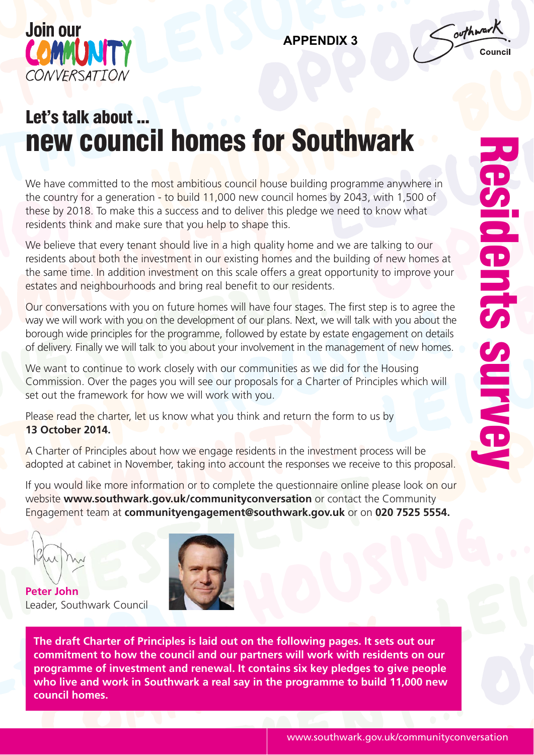

Coothwark

# Let's talk about ... new council homes for Southwark

We have committed to the most ambitious council house building programme anywhere in the country for a generation  $\frac{1}{2}$  to build 11,000 new council homes by 2043, with 1,500 of these by 2018. To make this a success and to deliver this pledge we need to know what residents think and make sure that you help to shape this.

We believe that every tenant should live in a high quality home and we are talking to our residents about both the investment in our existing homes and the building of new homes at the same time. In addition investment on this scale offers a great opportunity to improve your estates and neighbourhoods and bring real benefit to our residents.

Our conversations with you on future homes will have four stages. The first step is to agree the way we will work with you on the development of our plans. Next, we will talk with you about the borough wide principles for the programme, followed by estate by estate engagement on details of delivery. Finally we will talk to you about your involvement in the management of new homes.

We want to continue to work closely with our communities as we did for the Housing Commission. Over the pages you will see our proposals for a Charter of Principles which will set out the framework for how we will work with you.

Please read the charter, let us know what you think and return the form to us by **13 October 2014.**

A Charter of Principles about how we engage residents in the investment process will be adopted at cabinet in November, taking into account the responses we receive to this proposal.

If you would like more information or to complete the questionnaire online please look on our website **www.southwark.gov.uk/communityconversation** or contact the Community Engagement team at **communityengagement@southwark.gov.uk** or on **020 7525 5554.**

**Peter John** Leader, Southwark Council



**The draft Charter of Principles is laid out on the following pages. It sets out our commitment to how the council and our partners will work with residents on our programme of investment and renewal. It contains six key pledges to give people who live and work in Southwark a real say in the programme to build 11,000 new council homes.**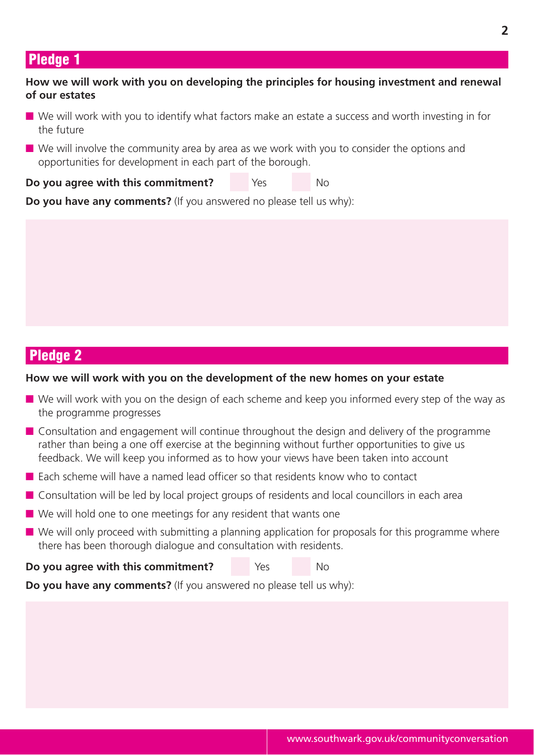### Pledge 1

#### **How we will work with you on developing the principles for housing investment and renewal of our estates**

- $\blacksquare$  We will work with you to identify what factors make an estate a success and worth investing in for the future
- $\blacksquare$  We will involve the community area by area as we work with you to consider the options and opportunities for development in each part of the borough.

**Do you agree with this commitment?** Yes No

**Do you have any comments?** (If you answered no please tell us why):

## Pledge 2

#### **How we will work with you on the development of the new homes on your estate**

- $\blacksquare$  We will work with you on the design of each scheme and keep you informed every step of the way as the programme progresses
- $\blacksquare$  Consultation and engagement will continue throughout the design and delivery of the programme rather than being a one off exercise at the beginning without further opportunities to give us feedback. We will keep you informed as to how your views have been taken into account
- Each scheme will have a named lead officer so that residents know who to contact
- $\blacksquare$  Consultation will be led by local project groups of residents and local councillors in each area
- $\blacksquare$  We will hold one to one meetings for any resident that wants one
- $\blacksquare$  We will only proceed with submitting a planning application for proposals for this programme where there has been thorough dialogue and consultation with residents.
- **Do you agree with this commitment?** Yes No

**Do you have any comments?** (If you answered no please tell us why):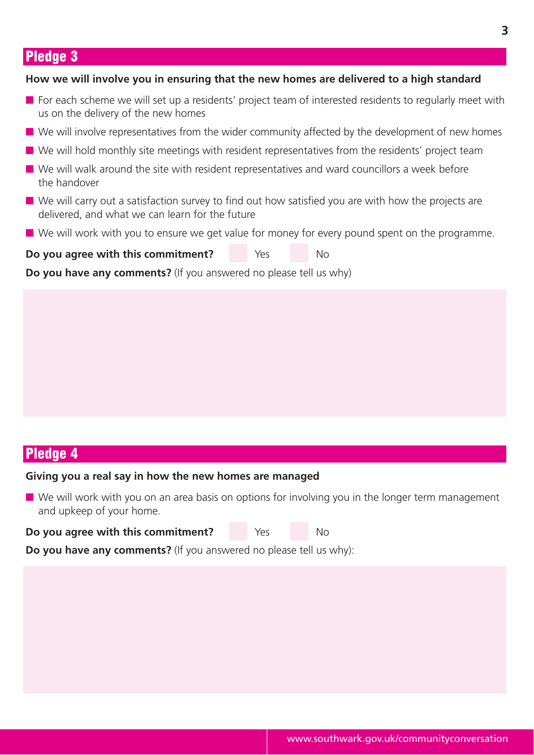## Pledge 3

#### **How we will involve you in ensuring that the new homes are delivered to a high standard**

- **n** For each scheme we will set up a residents' project team of interested residents to regularly meet with us on the delivery of the new homes
- $\blacksquare$  We will involve representatives from the wider community affected by the development of new homes
- $\blacksquare$  We will hold monthly site meetings with resident representatives from the residents' project team
- $\blacksquare$  We will walk around the site with resident representatives and ward councillors a week before the handover
- $\blacksquare$  We will carry out a satisfaction survey to find out how satisfied you are with how the projects are delivered, and what we can learn for the future
- $\blacksquare$  We will work with you to ensure we get value for money for every pound spent on the programme.

**Do you agree with this commitment?** Yes No

**Do you have any comments?** (If you answered no please tell us why)

## Pledge 4

#### **Giving you a real say in how the new homes are managed**

 $\blacksquare$  We will work with you on an area basis on options for involving you in the longer term management and upkeep of your home.

**Do you agree with this commitment?** Yes No

**Do you have any comments?** (If you answered no please tell us why):